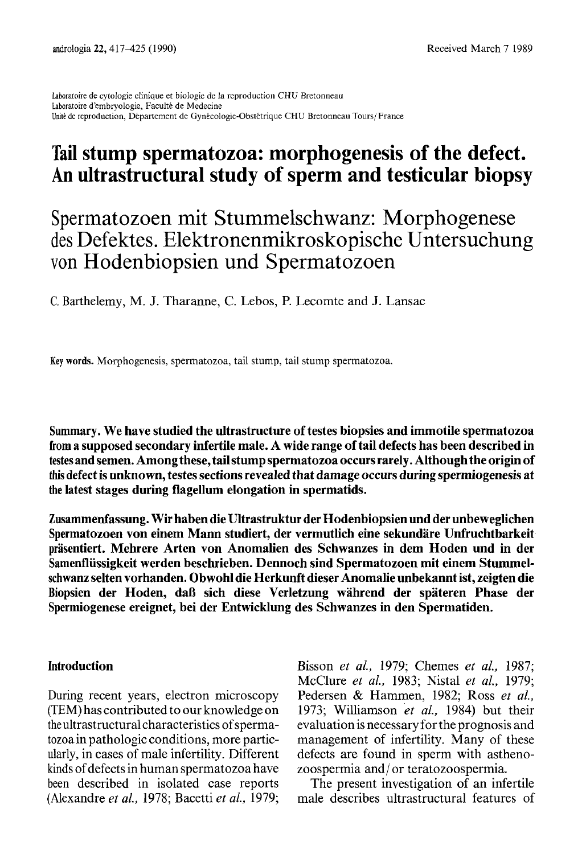Laboratoire de cytologie clinique et biologie de la reproduction CHU Bretonneau Laboratoire d'embryologie, Faculté de Medecine Unité de reproduction, Département de Gynécologie-Obstétrique CHU Bretonneau Tours/ France

## **Tail stump spermatozoa: morphogenesis of the defect. An ultrastructural study of sperm and testicular biopsy**

Spermatozoen mit Stummelschwanz: Morphogenese des Defektes. Elektronenmikroskopische Untersuchung von Hodenbiopsien und Spermatozoen

C. Barthelemy, M. J. Tharanne, C. Lebos, P. Lecomte and J. Lansac

**Key words.** Morphogenesis, spermatozoa, tail stump, tail stump spermatozoa.

Summary. We have studied the ultrastructure of testes biopsies and immotile spermatozoa from a supposed secondary infertile male. A wide range of tail defects has been described in testes and semen. Among these, tail stump spermatozoa occurs rarely. Although the origin of **this** defect is unknown, testes sections revealed that damage occurs during spermiogenesis at the latest stages during flagellum elongation in spermatids.

Zusammenfassung. Wir haben die Ultrastruktur der Hodenbiopsien und der unbeweglichen Spermatozoen von einem Mann studiert, der vermutlich eine sekundare Unfruchtbarkeit präsentiert. Mehrere Arten von Anomalien des Schwanzes in dem Hoden und in der Samenfliissigkeit werden beschrieben. Dennoch sind Spermatozoen mit einem Stummelschwanz selten vorhanden. Obwohl die Herkunft dieser Anomalie unbekannt ist, zeigten die Biopsien der Hoden, daD sich diese Verletzung wahrend der spateren Phase der Spermiogenese ereignet, bei der Entwicklung des Schwanzes in den Spermatiden.

## Introduction

During recent years, electron microscopy (TEM) has contributed to our knowledge on the ultrastructural characteristics of spermatozoa in pathologic conditions, more particularly, in cases of male infertility. Different kinds of defects in human spermatozoa have been described in isolated case reports (Alexandre *et al.,* 1978; Bacetti *et al.,* 1979;

Bisson *el al.,* 1979; Chemes *et al.,* 1987; McClure *et al.,* 1983; Nistal *et al.,* 1979; Pedersen & Hammen, 1982; Ross *et al.,*  1973; Williamson *et al.,* 1984) but their evaluation is necessary for the prognosis and management of infertility. Many of these defects are found in sperm with asthenozoospermia and/ or teratozoospermia.

The present investigation of an infertile male describes ultrastructural features of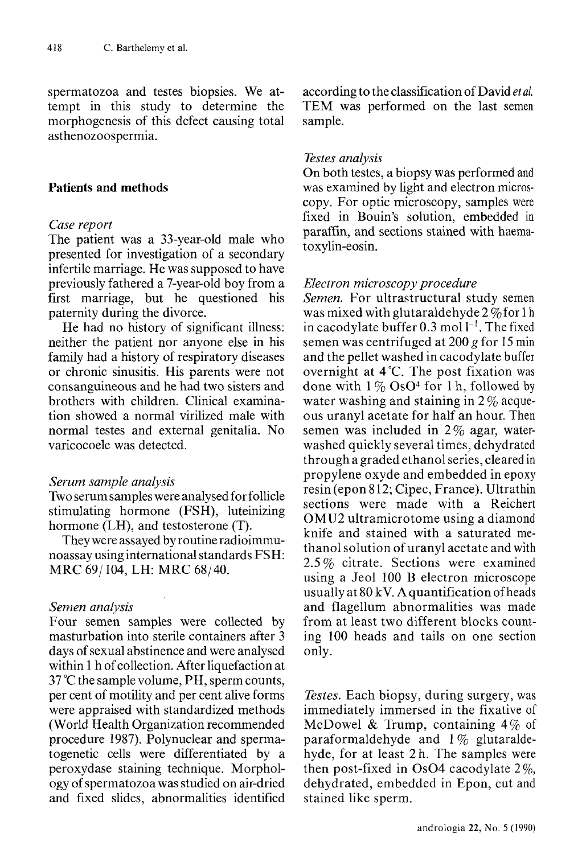spermatozoa and testes biopsies. We attempt in this study to determine the morphogenesis of this defect causing total asthenozoospermia.

#### **Patients and methods**

#### *Case report*

The patient was a 33-year-old male who presented for investigation of a secondary infertile marriage. He was supposed to have previously fathered a 7-year-old boy from a first marriage, but he questioned his paternity during the divorce.

He had no history of significant illness: neither the patient nor anyone else in his family had a history of respiratory diseases or chronic sinusitis. His parents were not consanguineous and he had two sisters and brothers with children. Clinical examination showed a normal virilized male with normal testes and external genitalia. No varicocoele was detected.

#### *Serum sample analysis*

Two serum samples were analysed for follicle stimulating hormone (FSH), luteinizing hormone (LH), and testosterone (T).

They were assayed by routine radioimmunoassay using international standards FSH: MRC 69/ 104, LH: MRC 68/40.

## *Semen analysis*

Four semen samples were collected by masturbation into sterile containers after 3 days of sexual abstinence and were analysed within 1 h of collection. After liquefaction at 37 "C the sample volume, PH, sperm counts, per cent of motility and per cent alive forms were appraised with standardized methods (World Health Organization recommended procedure 1987). Polynuclear and spermatogenetic cells were differentiated by a peroxydase staining technique. Morphology of spermatozoa was studied on air-dried and fixed slides, abnormalities identified according to the classification of David *et al.*  TEM was performed on the last semen sample.

## *Testes analysis*

On both testes, a biopsy was performed and was examined by light and electron microscopy. For optic microscopy, samples were fixed in Bouin's solution, embedded in paraffin, and sections stained with haematoxylin-eosin.

## *Electron microscopy procedure*

*Semen.* For ultrastructural study semen was mixed with glutaraldehyde  $2\%$  for 1 h in cacodylate buffer  $0.3 \text{ mol}$   $\mathrm{I}^{-1}$ . The fixed semen was centrifuged at 200 *g* for 15 min and the pellet washed in cacodylate buffer overnight at 4°C. The post fixation was done with  $1\%$  OsO<sup>4</sup> for 1 h, followed by water washing and staining in  $2\%$  acqueous uranyl acetate for half an hour. Then semen was included in  $2\%$  agar, waterwashed quickly several times, dehydrated through agraded ethanol series, cleared in propylene oxyde and embedded in epoxy resin (epon 8 12; Cipec, France). Ultrathin sections were made with a Reichert OMU2 ultramicrotome using a diamond knife and stained with a saturated methanol solution of uranyl acetate and with 2.5 % citrate. Sections were examined using a Jeol 100 B electron microscope usually at 80 kV. A quantification of heads and flagellum abnormalities was made from at least two different blocks counting 100 heads and tails on one section only.

*Testes.* Each biopsy, during surgery, was immediately immersed in the fixative of McDowel & Trump, containing **4%** of paraformaldehyde and  $1\%$  glutaraldehyde, for at least 2 h. The samples were then post-fixed in OsO4 cacodylate  $2\%$ , dehydrated, embedded in Epon, cut and stained like sperm.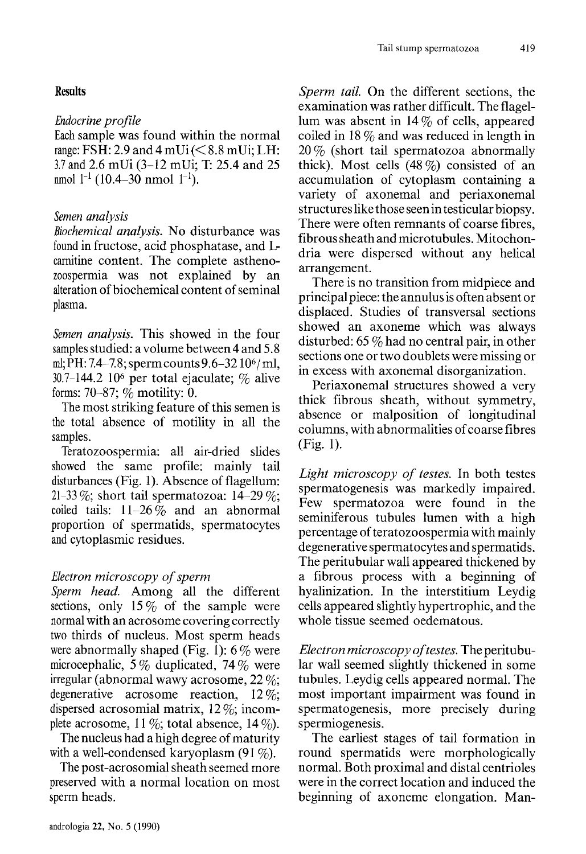## **Results**

## *Endocrine profile*

Each sample was found within the normal range: FSH: 2.9 and  $4 \text{ mUi}$  ( $\leq 8.8 \text{ mUi}$ ; LH:  $3.7$  and  $2.6$  mUi ( $3-12$  mUi; T:  $25.4$  and  $25$ nmol  $1^{-1}$  (10.4–30 nmol  $1^{-1}$ ).

## *Semen analysis*

*Biochemical analysis.* No disturbance was found in fructose, acid phosphatase, and Lcarnitine content. The complete asthenozoospermia was not explained by an alteration of biochemical content of seminal plasma.

*Semen analysis.* This showed in the four samples studied: a volume between 4 and 5.8 ml,PH: 7.4-7.8; spermcounts9.6-32 106/ml,  $30.7-144.2$  10<sup>6</sup> per total ejaculate;  $\%$  alive forms: 70-87; % motility: 0.

The most striking feature of this semen is the total absence of motility in all the samples.

Teratozoospermia: all air-dried slides showed the same profile: mainly tail disturbances (Fig. 1). Absence of flagellum: 21-33 %; short tail spermatozoa: 14-29 %; coiled tails:  $11-26\%$  and an abnormal proportion of spermatids, spermatocytes and cytoplasmic residues.

## *Electron microscopy of sperm*

*Sperm head.* Among all the different sections, only  $15\%$  of the sample were normal with an acrosome covering correctly two thirds of nucleus. Most sperm heads were abnormally shaped (Fig. 1):  $6\%$  were microcephalic, 5% duplicated, 74% were irregular (abnormal wawy acrosome, 22 %; degenerative acrosome reaction,  $12\%$ ; dispersed acrosomial matrix,  $12\%$ ; incomplete acrosome, 11 %; total absence, 14 %).

The nucleus had a high degree of maturity with a well-condensed karyoplasm  $(91\%)$ .

The post-acrosomial sheath seemed more preserved with a normal location on most sperm heads.

*Sperm tail.* On the different sections, the examination was rather difficult. The flagellum was absent in  $14\%$  of cells, appeared coiled in 18  $\%$  and was reduced in length in  $20\%$  (short tail spermatozoa abnormally thick). Most cells  $(48\%)$  consisted of an accumulation of cytoplasm containing a variety of axonemal and periaxonemal structures like those seen in testicular biopsy. There were often remnants of coarse fibres, fibrous sheath and microtubules. Mitochondria were dispersed without any helical arrangement.

There is no transition from midpiece and principal piece: the annulus is often absent or displaced. Studies of transversal sections showed an axoneme which was always disturbed: 65 % had no central pair, in other sections one or two doublets were missing or in excess with axonemal disorganization.

Periaxonemal structures showed a very thick fibrous sheath, without symmetry, absence or malposition of longitudinal columns, with abnormalities of coarse fibres (Fig. 1).

*Light microscopy of testes.* In both testes spermatogenesis was markedly impaired. Few spermatozoa were found in the seminiferous tubules lumen with a high percentage of teratozoospermia with mainly degenerative spermatocytes and spermatids. The peritubular wall appeared thickened by a fibrous process with a beginning of hyalinization. In the interstitium Leydig cells appeared slightly hypertrophic, and the whole tissue seemed oedematous.

*Electron microscopy of testes.* The peritubular wall seemed slightly thickened in some tubules. Leydig cells appeared normal. The most important impairment was found in spermatogenesis, more precisely during spermiogenesis.

The earliest stages of tail formation in round spermatids were morphologically normal. Both proximal and distal centrioles were in the correct location and induced the beginning of axoneme elongation. Man-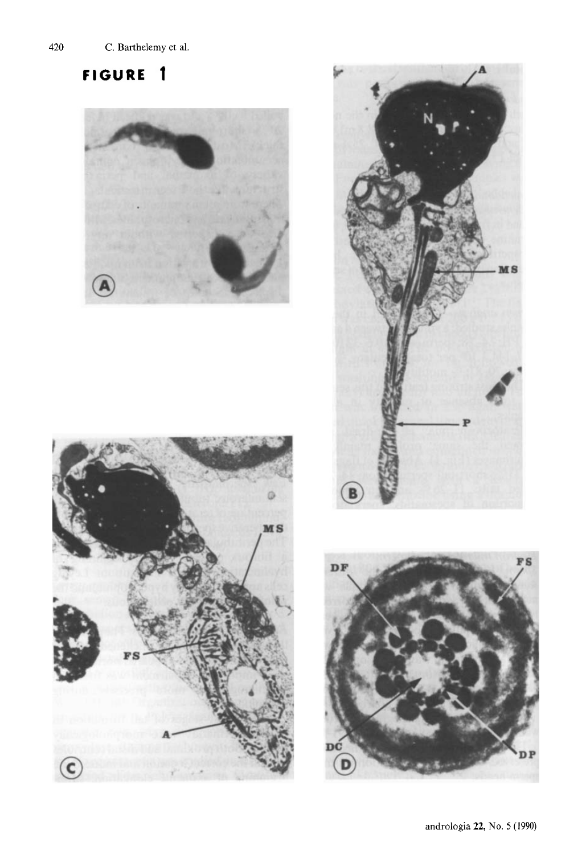# **FIGURE 1**







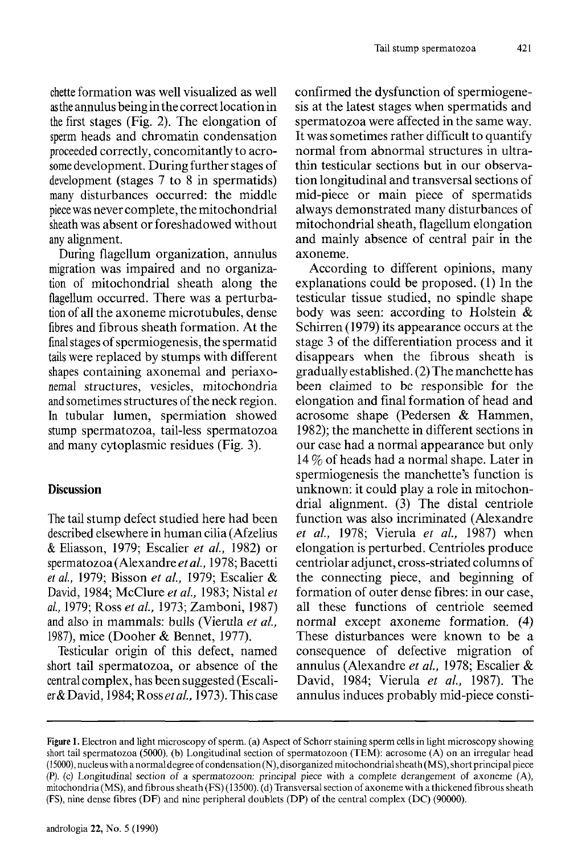chette formation was well visualized as well **as** the annulus being in the correct location in the first stages (Fig. 2). The elongation of sperm heads and chromatin condensation proceeded correctly, concomitantly to acrosome development. During further stages of development (stages 7 to 8 in spermatids) many disturbances occurred: the middle piece was never complete, the mitochondrial sheath was absent or foreshadowed without any alignment.

During flagellum organization, annulus migration was impaired and no organization of mitochondrial sheath along the flagellum occurred. There was a perturbation of all the axoneme microtubules, dense fibres and fibrous sheath formation. At the final stages of spermiogenesis, the spermatid tails were replaced by stumps with different shapes containing axonemal and periaxonemal structures, vesicles, mitochondria and sometimes structures of the neck region. In tubular lumen, spermiation showed stump spermatozoa, tail-less spermatozoa and many cytoplasmic residues (Fig. 3).

## **Discussion**

The tail stump defect studied here had been described elsewhere in human cilia (Afzelius & Eliasson, 1979; Escalier *et al.,* 1982) or spermatozoa(A1exandre *et al.,* 1978; Bacetti *et al.,* 1979; Bisson *et al.,* 1979; Escalier & David, 1984; McClure *et al.,* 1983; Nistal *et al.,* 1979; Ross *et al.,* 1973; Zamboni, 1987) and also in mammals: bulls (Vierula *et al.,*  1987), mice (Dooher & Bennet, 1977).

Testicular origin of this defect, named short tail spermatozoa, or absence of the central complex, has been suggested (Escalier&David, 1984; *Rossetal.,* 1973). Thiscase confirmed the dysfunction of spermiogenesis at the latest stages when spermatids and spermatozoa were affected in the same way. It was sometimes rather difficult to quantify normal from abnormal structures in ultrathin testicular sections but in our observation longitudinal and transversal sections of mid-piece or main piece of spermatids always demonstrated many disturbances of mitochondrial sheath, flagellum elongation and mainly absence of central pair in the axoneme.

According to different opinions, many explanations could be proposed. (1) In the testicular tissue studied, no spindle shape body was seen: according to Holstein & Schirren (1979) its appearance occurs at the stage *3* of the differentiation process and it disappears when the fibrous sheath is gradually established. (2) The manchette has been claimed to be responsible for the elongation and final formation of head and acrosome shape (Pedersen & Hammen, 1982); the manchette in different sections in our case had a normal appearance but only 14 % of heads had a normal shape. Later in spermiogenesis the manchette's function is unknown: it could play a role in mitochondrial alignment. *(3)* The distal centriole function was also incriminated (Alexandre *et al.,* 1978; Vierula *et al.,* 1987) when elongation is perturbed. Centrioles produce centriolar adjunct, cross-striated columns of the connecting piece, and beginning of formation of outer dense fibres: in our case, all these functions of centriole seemed normal except axoneme formation. (4) These disturbances were known to be a consequence of defective migration of annulus (Alexandre *et al.,* 1978; Escalier & David, 1984; Vierula *et al.,* 1987). The annulus induces probably mid-piece consti-

**Figure 1.** Electron and light microscopy of sperm. (a) Aspect of Schorr staining sperm cells in light microscopy showing short tail spermatozoa (5000). (b) Longitudinal section of spermatozoon (TEM): acrosome (A) on an irregular head (1 SOOO), nucleus with a normal degree of condensation (N), disorganized mitochondrial sheath (MS), short principal piece (P). (c) Longitudinal section of a spermatozoon: principal piece with a complete derangement of axoneme **(A),**  mitochondria(MS), and fibrous sheath **(FS)** (13500). (d) Transversal section of axoneme with a thickened fibrous sheath (FS), nine dense fibres (DF) and nine peripheral doublets (DP) of the central complex (DC) (90000).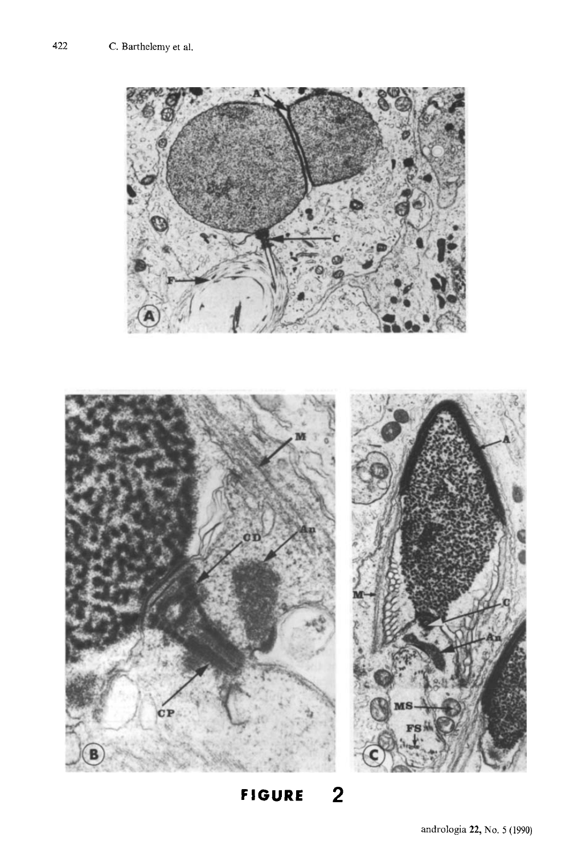

**FIGURE 2**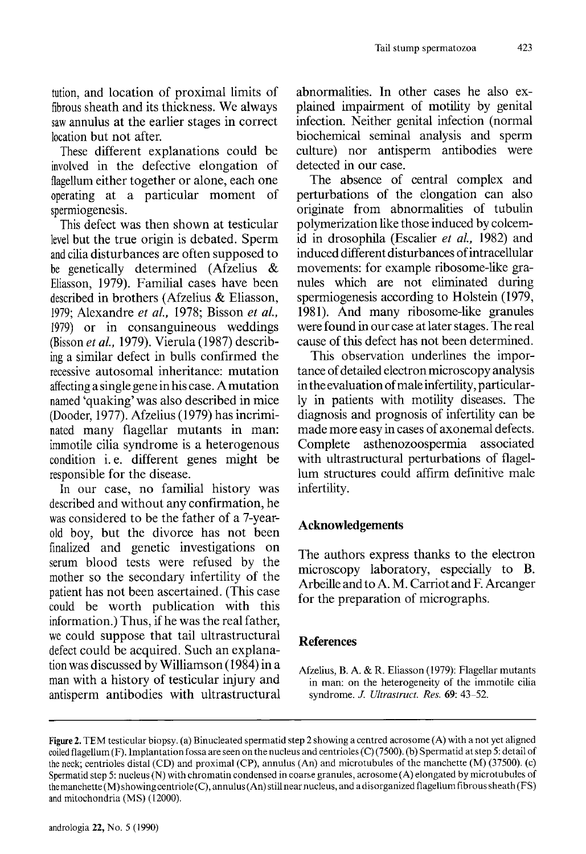tution, and location of proximal limits of fibrous sheath and its thickness. We always saw annulus at the earlier stages in correct location but not after.

These different explanations could be involved in the defective elongation of flagellum either together or alone, each one operating at a particular moment of spermiogenesis.

This defect was then shown at testicular level but the true origin is debated. Sperm and cilia disturbances are often supposed to be genetically determined (Afzelius & Eliasson, 1979). Familial cases have been described in brothers (Afzelius & Eliasson, 1979; Alexandre *et al.,* 1978; Bisson *et al.,*  1979) or in consanguineous weddings (Bisson *et al.,* 1979). Vierula (1987) describing a similar defect in bulls confirmed the recessive autosomal inheritance: mutation affecting a single gene in his case. A mutation named 'quaking' was also described in mice (Dooder, 1977). Afzelius (1979) has incriminated many flagellar mutants in man: immotile cilia syndrome is a heterogenous condition i.e. different genes might be responsible for the disease.

In our case, no familial history was described and without any confirmation, he was considered to be the father of a 7-yearold boy, but the divorce has not been finalized and genetic investigations on serum blood tests were refused by the mother so the secondary infertility of the patient has not been ascertained. (This case could be worth publication with this information.) Thus, if he was the real father, we could suppose that tail ultrastructural defect could be acquired. Such an explanation was discussed by Williamson (1984) in a man with a history of testicular injury and antisperm antibodies with ultrastructural

abnormalities. In other cases he also explained impairment of motility by genital infection. Neither genital infection (normal biochemical seminal analysis and sperm culture) nor antisperm antibodies were detected in our case.

The absence of central complex and perturbations of the elongation can also originate from abnormalities of tubulin polymerization like those induced by colcemid in drosophila (Escalier *et al.,* 1982) and induced different disturbances of intracellular movements: for example ribosome-like granules which are not eliminated during spermiogenesis according to Holstein (1979, 1981). And many ribosome-like granules were found in our case at later stages. The real cause of this defect has not been determined.

This observation underlines the importance of detailed electron microscopy analysis in the evaluation of male infertility, particularly in patients with motility diseases. The diagnosis and prognosis of infertility can be made more easy in cases of axonemal defects. Complete asthenozoospermia associated with ultrastructural perturbations of flagellum structures could affirm definitive male infertility.

## **Acknowledgements**

The authors express thanks to the electron microscopy laboratory, especially to B. Arbeille and to A. M. Carriot and F. Arcanger for the preparation of micrographs.

#### **References**

Afzelius, B. **A.** & R. Eliasson (1979): Flagellar mutants in man: on the heterogeneity of the immotile ciha syndrome. *J. Ultrastruct. Res.* **69:** 43-52.

**Figure 2.** TEM testicular biopsy. (a) Binucleated spermatid step 2 showing a centred acrosome (A) with a not yet aligned coiled flagellum (F). lmplantation fossaareseen on the nucleus and centrioles (C) (7500). (b) Spermatid at step 5: detail of the neck; centrioles distal (CD) and proximal (CP), annulus (An) and microtubules of the manchette (M) (37500). (c) Spermatid step *5:* nucleus (N) with chromatin condensed in coarse granules, acrosome (A) elongated by microtubules of **themanchette(M)showingcentriole(C),** annulus(An) stillnear nucleus, and adisorganizedflagellumfibrous sheath(FS) and mitochondria (MS) (12000).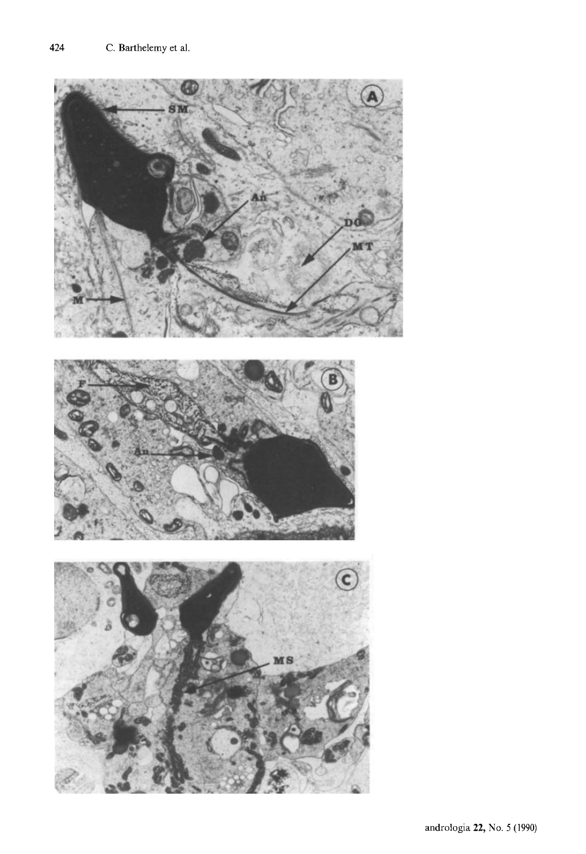